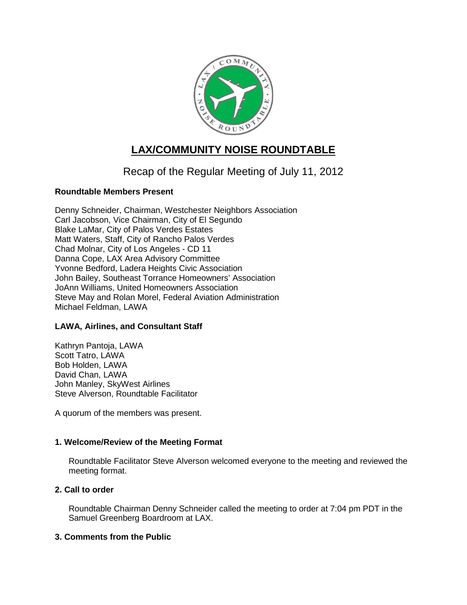

# **LAX/COMMUNITY NOISE ROUNDTABLE**

# Recap of the Regular Meeting of July 11, 2012

# **Roundtable Members Present**

Denny Schneider, Chairman, Westchester Neighbors Association Carl Jacobson, Vice Chairman, City of El Segundo Blake LaMar, City of Palos Verdes Estates Matt Waters, Staff, City of Rancho Palos Verdes Chad Molnar, City of Los Angeles - CD 11 Danna Cope, LAX Area Advisory Committee Yvonne Bedford, Ladera Heights Civic Association John Bailey, Southeast Torrance Homeowners' Association JoAnn Williams, United Homeowners Association Steve May and Rolan Morel, Federal Aviation Administration Michael Feldman, LAWA

# **LAWA, Airlines, and Consultant Staff**

Kathryn Pantoja, LAWA Scott Tatro, LAWA Bob Holden, LAWA David Chan, LAWA John Manley, SkyWest Airlines Steve Alverson, Roundtable Facilitator

A quorum of the members was present.

# **1. Welcome/Review of the Meeting Format**

Roundtable Facilitator Steve Alverson welcomed everyone to the meeting and reviewed the meeting format.

# **2. Call to order**

Roundtable Chairman Denny Schneider called the meeting to order at 7:04 pm PDT in the Samuel Greenberg Boardroom at LAX.

# **3. Comments from the Public**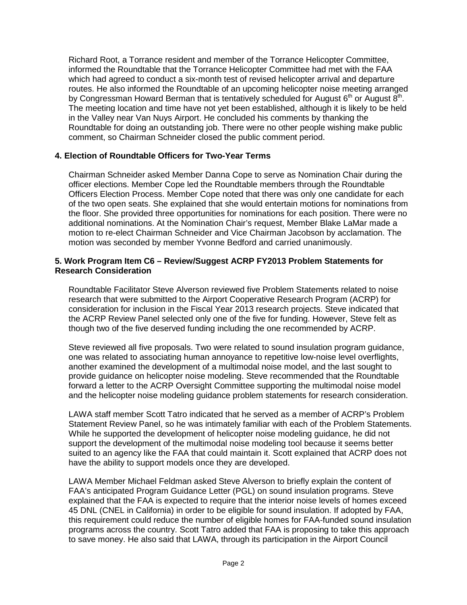Richard Root, a Torrance resident and member of the Torrance Helicopter Committee, informed the Roundtable that the Torrance Helicopter Committee had met with the FAA which had agreed to conduct a six-month test of revised helicopter arrival and departure routes. He also informed the Roundtable of an upcoming helicopter noise meeting arranged by Congressman Howard Berman that is tentatively scheduled for August 6<sup>th</sup> or August 8<sup>th</sup>. The meeting location and time have not yet been established, although it is likely to be held in the Valley near Van Nuys Airport. He concluded his comments by thanking the Roundtable for doing an outstanding job. There were no other people wishing make public comment, so Chairman Schneider closed the public comment period.

## **4. Election of Roundtable Officers for Two-Year Terms**

Chairman Schneider asked Member Danna Cope to serve as Nomination Chair during the officer elections. Member Cope led the Roundtable members through the Roundtable Officers Election Process. Member Cope noted that there was only one candidate for each of the two open seats. She explained that she would entertain motions for nominations from the floor. She provided three opportunities for nominations for each position. There were no additional nominations. At the Nomination Chair's request, Member Blake LaMar made a motion to re-elect Chairman Schneider and Vice Chairman Jacobson by acclamation. The motion was seconded by member Yvonne Bedford and carried unanimously.

### **5. Work Program Item C6 – Review/Suggest ACRP FY2013 Problem Statements for Research Consideration**

Roundtable Facilitator Steve Alverson reviewed five Problem Statements related to noise research that were submitted to the Airport Cooperative Research Program (ACRP) for consideration for inclusion in the Fiscal Year 2013 research projects. Steve indicated that the ACRP Review Panel selected only one of the five for funding. However, Steve felt as though two of the five deserved funding including the one recommended by ACRP.

Steve reviewed all five proposals. Two were related to sound insulation program guidance, one was related to associating human annoyance to repetitive low-noise level overflights, another examined the development of a multimodal noise model, and the last sought to provide guidance on helicopter noise modeling. Steve recommended that the Roundtable forward a letter to the ACRP Oversight Committee supporting the multimodal noise model and the helicopter noise modeling guidance problem statements for research consideration.

LAWA staff member Scott Tatro indicated that he served as a member of ACRP's Problem Statement Review Panel, so he was intimately familiar with each of the Problem Statements. While he supported the development of helicopter noise modeling guidance, he did not support the development of the multimodal noise modeling tool because it seems better suited to an agency like the FAA that could maintain it. Scott explained that ACRP does not have the ability to support models once they are developed.

LAWA Member Michael Feldman asked Steve Alverson to briefly explain the content of FAA's anticipated Program Guidance Letter (PGL) on sound insulation programs. Steve explained that the FAA is expected to require that the interior noise levels of homes exceed 45 DNL (CNEL in California) in order to be eligible for sound insulation. If adopted by FAA, this requirement could reduce the number of eligible homes for FAA-funded sound insulation programs across the country. Scott Tatro added that FAA is proposing to take this approach to save money. He also said that LAWA, through its participation in the Airport Council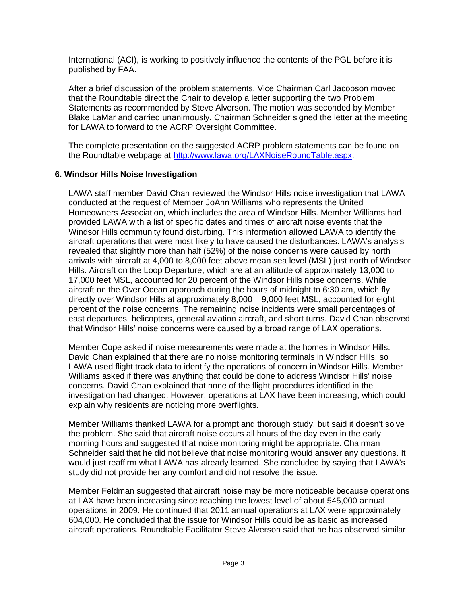International (ACI), is working to positively influence the contents of the PGL before it is published by FAA.

After a brief discussion of the problem statements, Vice Chairman Carl Jacobson moved that the Roundtable direct the Chair to develop a letter supporting the two Problem Statements as recommended by Steve Alverson. The motion was seconded by Member Blake LaMar and carried unanimously. Chairman Schneider signed the letter at the meeting for LAWA to forward to the ACRP Oversight Committee.

The complete presentation on the suggested ACRP problem statements can be found on the Roundtable webpage at [http://www.lawa.org/LAXNoiseRoundTable.aspx.](http://www.lawa.org/LAXNoiseRoundTable.aspx)

### **6. Windsor Hills Noise Investigation**

LAWA staff member David Chan reviewed the Windsor Hills noise investigation that LAWA conducted at the request of Member JoAnn Williams who represents the United Homeowners Association, which includes the area of Windsor Hills. Member Williams had provided LAWA with a list of specific dates and times of aircraft noise events that the Windsor Hills community found disturbing. This information allowed LAWA to identify the aircraft operations that were most likely to have caused the disturbances. LAWA's analysis revealed that slightly more than half (52%) of the noise concerns were caused by north arrivals with aircraft at 4,000 to 8,000 feet above mean sea level (MSL) just north of Windsor Hills. Aircraft on the Loop Departure, which are at an altitude of approximately 13,000 to 17,000 feet MSL, accounted for 20 percent of the Windsor Hills noise concerns. While aircraft on the Over Ocean approach during the hours of midnight to 6:30 am, which fly directly over Windsor Hills at approximately 8,000 – 9,000 feet MSL, accounted for eight percent of the noise concerns. The remaining noise incidents were small percentages of east departures, helicopters, general aviation aircraft, and short turns. David Chan observed that Windsor Hills' noise concerns were caused by a broad range of LAX operations.

Member Cope asked if noise measurements were made at the homes in Windsor Hills. David Chan explained that there are no noise monitoring terminals in Windsor Hills, so LAWA used flight track data to identify the operations of concern in Windsor Hills. Member Williams asked if there was anything that could be done to address Windsor Hills' noise concerns. David Chan explained that none of the flight procedures identified in the investigation had changed. However, operations at LAX have been increasing, which could explain why residents are noticing more overflights.

Member Williams thanked LAWA for a prompt and thorough study, but said it doesn't solve the problem. She said that aircraft noise occurs all hours of the day even in the early morning hours and suggested that noise monitoring might be appropriate. Chairman Schneider said that he did not believe that noise monitoring would answer any questions. It would just reaffirm what LAWA has already learned. She concluded by saying that LAWA's study did not provide her any comfort and did not resolve the issue.

Member Feldman suggested that aircraft noise may be more noticeable because operations at LAX have been increasing since reaching the lowest level of about 545,000 annual operations in 2009. He continued that 2011 annual operations at LAX were approximately 604,000. He concluded that the issue for Windsor Hills could be as basic as increased aircraft operations. Roundtable Facilitator Steve Alverson said that he has observed similar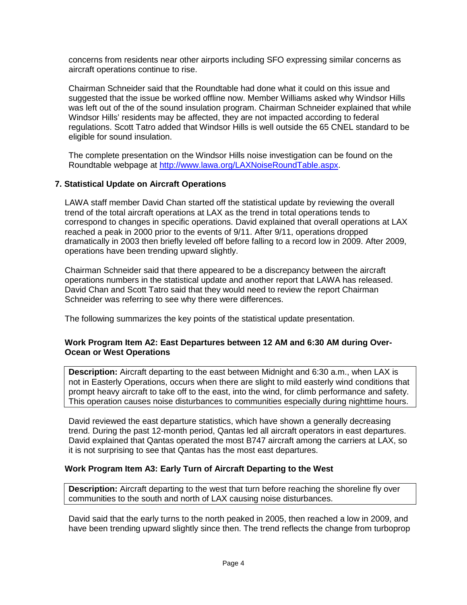concerns from residents near other airports including SFO expressing similar concerns as aircraft operations continue to rise.

Chairman Schneider said that the Roundtable had done what it could on this issue and suggested that the issue be worked offline now. Member Williams asked why Windsor Hills was left out of the of the sound insulation program. Chairman Schneider explained that while Windsor Hills' residents may be affected, they are not impacted according to federal regulations. Scott Tatro added that Windsor Hills is well outside the 65 CNEL standard to be eligible for sound insulation.

The complete presentation on the Windsor Hills noise investigation can be found on the Roundtable webpage at [http://www.lawa.org/LAXNoiseRoundTable.aspx.](http://www.lawa.aero/LAXNoiseRoundTable.aspx)

## **7. Statistical Update on Aircraft Operations**

LAWA staff member David Chan started off the statistical update by reviewing the overall trend of the total aircraft operations at LAX as the trend in total operations tends to correspond to changes in specific operations. David explained that overall operations at LAX reached a peak in 2000 prior to the events of 9/11. After 9/11, operations dropped dramatically in 2003 then briefly leveled off before falling to a record low in 2009. After 2009, operations have been trending upward slightly.

Chairman Schneider said that there appeared to be a discrepancy between the aircraft operations numbers in the statistical update and another report that LAWA has released. David Chan and Scott Tatro said that they would need to review the report Chairman Schneider was referring to see why there were differences.

The following summarizes the key points of the statistical update presentation.

## **Work Program Item A2: East Departures between 12 AM and 6:30 AM during Over-Ocean or West Operations**

**Description:** Aircraft departing to the east between Midnight and 6:30 a.m., when LAX is not in Easterly Operations, occurs when there are slight to mild easterly wind conditions that prompt heavy aircraft to take off to the east, into the wind, for climb performance and safety. This operation causes noise disturbances to communities especially during nighttime hours.

David reviewed the east departure statistics, which have shown a generally decreasing trend. During the past 12-month period, Qantas led all aircraft operators in east departures. David explained that Qantas operated the most B747 aircraft among the carriers at LAX, so it is not surprising to see that Qantas has the most east departures.

# **Work Program Item A3: Early Turn of Aircraft Departing to the West**

**Description:** Aircraft departing to the west that turn before reaching the shoreline fly over communities to the south and north of LAX causing noise disturbances.

David said that the early turns to the north peaked in 2005, then reached a low in 2009, and have been trending upward slightly since then. The trend reflects the change from turboprop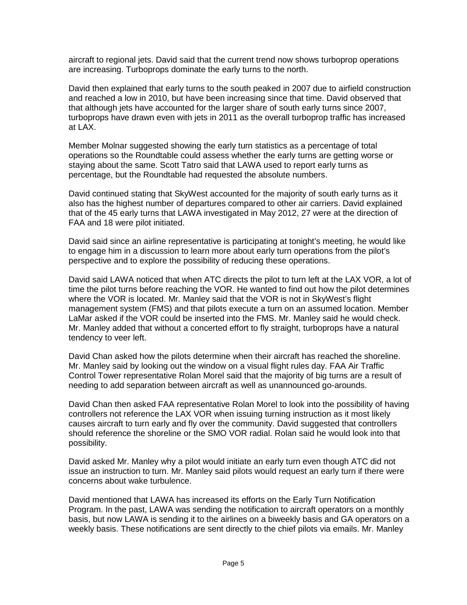aircraft to regional jets. David said that the current trend now shows turboprop operations are increasing. Turboprops dominate the early turns to the north.

David then explained that early turns to the south peaked in 2007 due to airfield construction and reached a low in 2010, but have been increasing since that time. David observed that that although jets have accounted for the larger share of south early turns since 2007, turboprops have drawn even with jets in 2011 as the overall turboprop traffic has increased at LAX.

Member Molnar suggested showing the early turn statistics as a percentage of total operations so the Roundtable could assess whether the early turns are getting worse or staying about the same. Scott Tatro said that LAWA used to report early turns as percentage, but the Roundtable had requested the absolute numbers.

David continued stating that SkyWest accounted for the majority of south early turns as it also has the highest number of departures compared to other air carriers. David explained that of the 45 early turns that LAWA investigated in May 2012, 27 were at the direction of FAA and 18 were pilot initiated.

David said since an airline representative is participating at tonight's meeting, he would like to engage him in a discussion to learn more about early turn operations from the pilot's perspective and to explore the possibility of reducing these operations.

David said LAWA noticed that when ATC directs the pilot to turn left at the LAX VOR, a lot of time the pilot turns before reaching the VOR. He wanted to find out how the pilot determines where the VOR is located. Mr. Manley said that the VOR is not in SkyWest's flight management system (FMS) and that pilots execute a turn on an assumed location. Member LaMar asked if the VOR could be inserted into the FMS. Mr. Manley said he would check. Mr. Manley added that without a concerted effort to fly straight, turboprops have a natural tendency to veer left.

David Chan asked how the pilots determine when their aircraft has reached the shoreline. Mr. Manley said by looking out the window on a visual flight rules day. FAA Air Traffic Control Tower representative Rolan Morel said that the majority of big turns are a result of needing to add separation between aircraft as well as unannounced go-arounds.

David Chan then asked FAA representative Rolan Morel to look into the possibility of having controllers not reference the LAX VOR when issuing turning instruction as it most likely causes aircraft to turn early and fly over the community. David suggested that controllers should reference the shoreline or the SMO VOR radial. Rolan said he would look into that possibility.

David asked Mr. Manley why a pilot would initiate an early turn even though ATC did not issue an instruction to turn. Mr. Manley said pilots would request an early turn if there were concerns about wake turbulence.

David mentioned that LAWA has increased its efforts on the Early Turn Notification Program. In the past, LAWA was sending the notification to aircraft operators on a monthly basis, but now LAWA is sending it to the airlines on a biweekly basis and GA operators on a weekly basis. These notifications are sent directly to the chief pilots via emails. Mr. Manley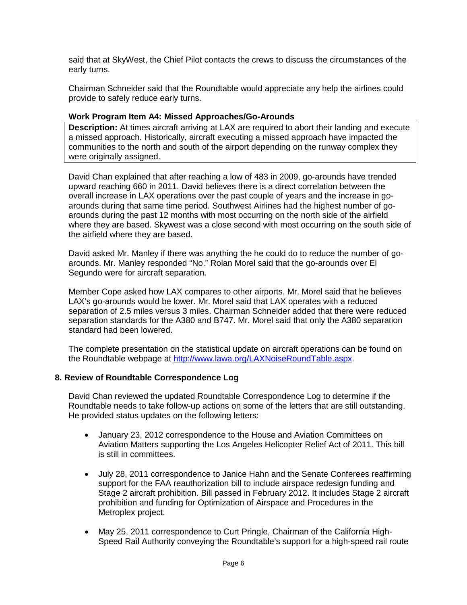said that at SkyWest, the Chief Pilot contacts the crews to discuss the circumstances of the early turns.

Chairman Schneider said that the Roundtable would appreciate any help the airlines could provide to safely reduce early turns.

## **Work Program Item A4: Missed Approaches/Go-Arounds**

**Description:** At times aircraft arriving at LAX are required to abort their landing and execute a missed approach. Historically, aircraft executing a missed approach have impacted the communities to the north and south of the airport depending on the runway complex they were originally assigned.

David Chan explained that after reaching a low of 483 in 2009, go-arounds have trended upward reaching 660 in 2011. David believes there is a direct correlation between the overall increase in LAX operations over the past couple of years and the increase in goarounds during that same time period. Southwest Airlines had the highest number of goarounds during the past 12 months with most occurring on the north side of the airfield where they are based. Skywest was a close second with most occurring on the south side of the airfield where they are based.

David asked Mr. Manley if there was anything the he could do to reduce the number of goarounds. Mr. Manley responded "No." Rolan Morel said that the go-arounds over El Segundo were for aircraft separation.

Member Cope asked how LAX compares to other airports. Mr. Morel said that he believes LAX's go-arounds would be lower. Mr. Morel said that LAX operates with a reduced separation of 2.5 miles versus 3 miles. Chairman Schneider added that there were reduced separation standards for the A380 and B747. Mr. Morel said that only the A380 separation standard had been lowered.

The complete presentation on the statistical update on aircraft operations can be found on the Roundtable webpage at [http://www.lawa.org/LAXNoiseRoundTable.aspx.](http://www.lawa.org/LAXNoiseRoundTable.aspx)

### **8. Review of Roundtable Correspondence Log**

David Chan reviewed the updated Roundtable Correspondence Log to determine if the Roundtable needs to take follow-up actions on some of the letters that are still outstanding. He provided status updates on the following letters:

- January 23, 2012 correspondence to the House and Aviation Committees on Aviation Matters supporting the Los Angeles Helicopter Relief Act of 2011. This bill is still in committees.
- July 28, 2011 correspondence to Janice Hahn and the Senate Conferees reaffirming support for the FAA reauthorization bill to include airspace redesign funding and Stage 2 aircraft prohibition. Bill passed in February 2012. It includes Stage 2 aircraft prohibition and funding for Optimization of Airspace and Procedures in the Metroplex project.
- May 25, 2011 correspondence to Curt Pringle, Chairman of the California High-Speed Rail Authority conveying the Roundtable's support for a high-speed rail route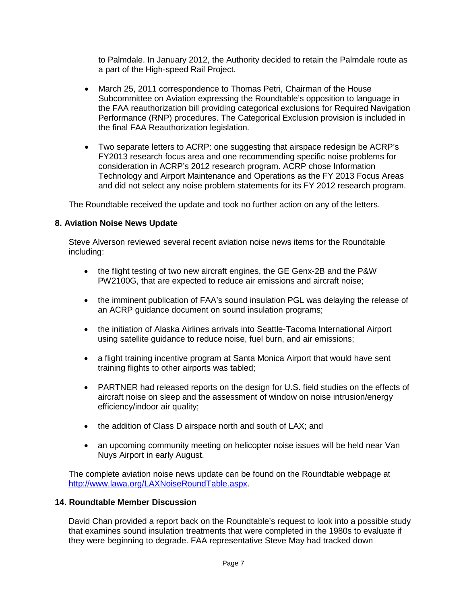to Palmdale. In January 2012, the Authority decided to retain the Palmdale route as a part of the High-speed Rail Project.

- March 25, 2011 correspondence to Thomas Petri, Chairman of the House Subcommittee on Aviation expressing the Roundtable's opposition to language in the FAA reauthorization bill providing categorical exclusions for Required Navigation Performance (RNP) procedures. The Categorical Exclusion provision is included in the final FAA Reauthorization legislation.
- Two separate letters to ACRP: one suggesting that airspace redesign be ACRP's FY2013 research focus area and one recommending specific noise problems for consideration in ACRP's 2012 research program. ACRP chose Information Technology and Airport Maintenance and Operations as the FY 2013 Focus Areas and did not select any noise problem statements for its FY 2012 research program.

The Roundtable received the update and took no further action on any of the letters.

## **8. Aviation Noise News Update**

Steve Alverson reviewed several recent aviation noise news items for the Roundtable including:

- the flight testing of two new aircraft engines, the GE Genx-2B and the P&W PW2100G, that are expected to reduce air emissions and aircraft noise;
- the imminent publication of FAA's sound insulation PGL was delaying the release of an ACRP guidance document on sound insulation programs;
- the initiation of Alaska Airlines arrivals into Seattle-Tacoma International Airport using satellite guidance to reduce noise, fuel burn, and air emissions;
- a flight training incentive program at Santa Monica Airport that would have sent training flights to other airports was tabled;
- PARTNER had released reports on the design for U.S. field studies on the effects of aircraft noise on sleep and the assessment of window on noise intrusion/energy efficiency/indoor air quality;
- the addition of Class D airspace north and south of LAX; and
- an upcoming community meeting on helicopter noise issues will be held near Van Nuys Airport in early August.

The complete aviation noise news update can be found on the Roundtable webpage at [http://www.lawa.org/LAXNoiseRoundTable.aspx.](http://www.lawa.org/LAXNoiseRoundTable.aspx)

### **14. Roundtable Member Discussion**

David Chan provided a report back on the Roundtable's request to look into a possible study that examines sound insulation treatments that were completed in the 1980s to evaluate if they were beginning to degrade. FAA representative Steve May had tracked down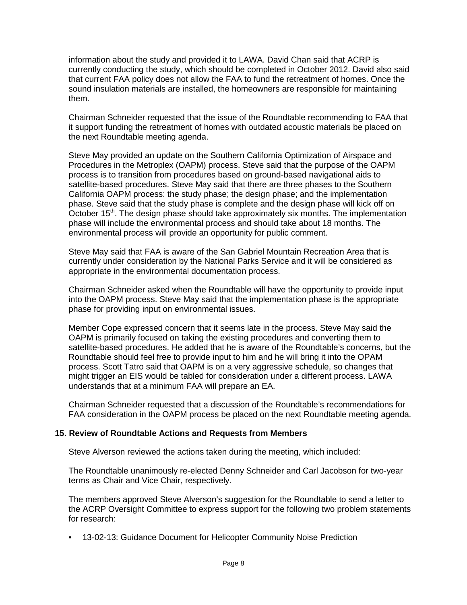information about the study and provided it to LAWA. David Chan said that ACRP is currently conducting the study, which should be completed in October 2012. David also said that current FAA policy does not allow the FAA to fund the retreatment of homes. Once the sound insulation materials are installed, the homeowners are responsible for maintaining them.

Chairman Schneider requested that the issue of the Roundtable recommending to FAA that it support funding the retreatment of homes with outdated acoustic materials be placed on the next Roundtable meeting agenda.

Steve May provided an update on the Southern California Optimization of Airspace and Procedures in the Metroplex (OAPM) process. Steve said that the purpose of the OAPM process is to transition from procedures based on ground-based navigational aids to satellite-based procedures. Steve May said that there are three phases to the Southern California OAPM process: the study phase; the design phase; and the implementation phase. Steve said that the study phase is complete and the design phase will kick off on October 15<sup>th</sup>. The design phase should take approximately six months. The implementation phase will include the environmental process and should take about 18 months. The environmental process will provide an opportunity for public comment.

Steve May said that FAA is aware of the San Gabriel Mountain Recreation Area that is currently under consideration by the National Parks Service and it will be considered as appropriate in the environmental documentation process.

Chairman Schneider asked when the Roundtable will have the opportunity to provide input into the OAPM process. Steve May said that the implementation phase is the appropriate phase for providing input on environmental issues.

Member Cope expressed concern that it seems late in the process. Steve May said the OAPM is primarily focused on taking the existing procedures and converting them to satellite-based procedures. He added that he is aware of the Roundtable's concerns, but the Roundtable should feel free to provide input to him and he will bring it into the OPAM process. Scott Tatro said that OAPM is on a very aggressive schedule, so changes that might trigger an EIS would be tabled for consideration under a different process. LAWA understands that at a minimum FAA will prepare an EA.

Chairman Schneider requested that a discussion of the Roundtable's recommendations for FAA consideration in the OAPM process be placed on the next Roundtable meeting agenda.

### **15. Review of Roundtable Actions and Requests from Members**

Steve Alverson reviewed the actions taken during the meeting, which included:

The Roundtable unanimously re-elected Denny Schneider and Carl Jacobson for two-year terms as Chair and Vice Chair, respectively.

The members approved Steve Alverson's suggestion for the Roundtable to send a letter to the ACRP Oversight Committee to express support for the following two problem statements for research:

• 13-02-13: Guidance Document for Helicopter Community Noise Prediction